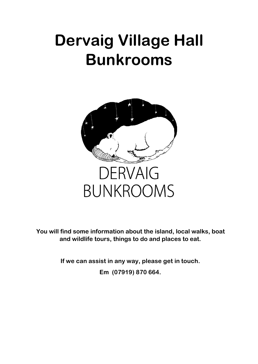# **Dervaig Village Hall Bunkrooms**



**You will find some information about the island, local walks, boat and wildlife tours, things to do and places to eat.** 

**If we can assist in any way, please get in touch.** 

**Em (07919) 870 664.**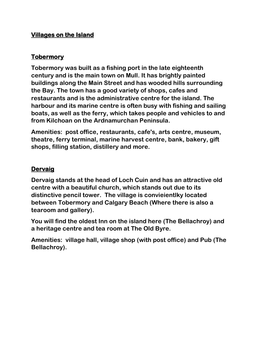## **Villages on the Island**

#### **Tobermory**

**Tobermory was built as a fishing port in the late eighteenth century and is the main town on Mull. It has brightly painted buildings along the Main Street and has wooded hills surrounding the Bay. The town has a good variety of shops, cafes and restaurants and is the administrative centre for the island. The harbour and its marine centre is often busy with fishing and sailing boats, as well as the ferry, which takes people and vehicles to and from Kilchoan on the Ardnamurchan Peninsula.** 

**Amenities: post office, restaurants, cafe's, arts centre, museum, theatre, ferry terminal, marine harvest centre, bank, bakery, gift shops, filling station, distillery and more.**

## **Dervaig**

**Dervaig stands at the head of Loch Cuin and has an attractive old centre with a beautiful church, which stands out due to its distinctive pencil tower. The village is convieientlky located between Tobermory and Calgary Beach (Where there is also a tearoom and gallery).**

**You will find the oldest Inn on the island here (The Bellachroy) and a heritage centre and tea room at The Old Byre.** 

**Amenities: village hall, village shop (with post office) and Pub (The Bellachroy).**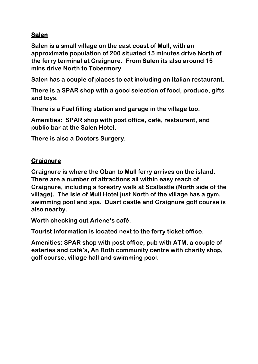## **Salen**

**Salen is a small village on the east coast of Mull, with an approximate population of 200 situated 15 minutes drive North of the ferry terminal at Craignure. From Salen its also around 15 mins drive North to Tobermory.**

**Salen has a couple of places to eat including an Italian restaurant.**

**There is a SPAR shop with a good selection of food, produce, gifts and toys.**

**There is a Fuel filling station and garage in the village too.**

**Amenities: SPAR shop with post office, café, restaurant, and public bar at the Salen Hotel.**

**There is also a Doctors Surgery.**

## **Craignure**

**Craignure is where the Oban to Mull ferry arrives on the island. There are a number of attractions all within easy reach of Craignure, including a forestry walk at Scallastle (North side of the village). The Isle of Mull Hotel just North of the village has a gym, swimming pool and spa. Duart castle and Craignure golf course is also nearby.**

**Worth checking out Arlene's café.**

**Tourist Information is located next to the ferry ticket office.**

**Amenities: SPAR shop with post office, pub with ATM, a couple of eateries and café's, An Roth community centre with charity shop, golf course, village hall and swimming pool.**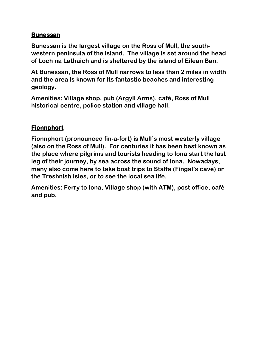## **Bunessan**

**Bunessan is the largest village on the Ross of Mull, the southwestern peninsula of the island. The village is set around the head of Loch na Lathaich and is sheltered by the island of Eilean Ban.**

**At Bunessan, the Ross of Mull narrows to less than 2 miles in width and the area is known for its fantastic beaches and interesting geology.**

**Amenities: Village shop, pub (Argyll Arms), café, Ross of Mull historical centre, police station and village hall.**

## **Fionnphort**

**Fionnphort (pronounced fin-a-fort) is Mull's most westerly village (also on the Ross of Mull). For centuries it has been best known as the place where pilgrims and tourists heading to Iona start the last leg of their journey, by sea across the sound of Iona. Nowadays, many also come here to take boat trips to Staffa (Fingal's cave) or the Treshnish Isles, or to see the local sea life.**

**Amenities: Ferry to Iona, Village shop (with ATM), post office, café and pub.**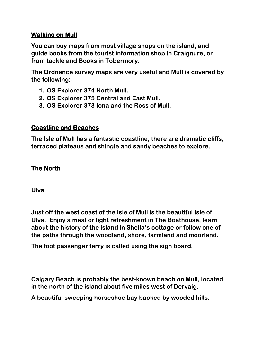## **Walking on Mull**

**You can buy maps from most village shops on the island, and guide books from the tourist information shop in Craignure, or from tackle and Books in Tobermory.**

**The Ordnance survey maps are very useful and Mull is covered by the following:-**

- **1. OS Explorer 374 North Mull.**
- **2. OS Explorer 375 Central and East Mull.**
- **3. OS Explorer 373 Iona and the Ross of Mull.**

## **Coastline and Beaches**

**The Isle of Mull has a fantastic coastline, there are dramatic cliffs, terraced plateaus and shingle and sandy beaches to explore.** 

## **The North**

**Ulva** 

**Just off the west coast of the Isle of Mull is the beautiful Isle of Ulva. Enjoy a meal or light refreshment in The Boathouse, learn about the history of the island in Sheila's cottage or follow one of the paths through the woodland, shore, farmland and moorland.**

**The foot passenger ferry is called using the sign board.**

**Calgary Beach is probably the best-known beach on Mull, located in the north of the island about five miles west of Dervaig.**

**A beautiful sweeping horseshoe bay backed by wooded hills.**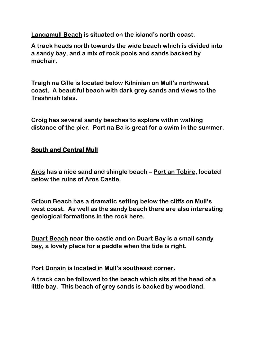**Langamull Beach is situated on the island's north coast.**

**A track heads north towards the wide beach which is divided into a sandy bay, and a mix of rock pools and sands backed by machair.**

**Traigh na Cille is located below Kilninian on Mull's northwest coast. A beautiful beach with dark grey sands and views to the Treshnish Isles.**

**Croig has several sandy beaches to explore within walking distance of the pier. Port na Ba is great for a swim in the summer.**

## **South and Central Mull**

**Aros has a nice sand and shingle beach – Port an Tobire, located below the ruins of Aros Castle.**

**Gribun Beach has a dramatic setting below the cliffs on Mull's west coast. As well as the sandy beach there are also interesting geological formations in the rock here.**

**Duart Beach near the castle and on Duart Bay is a small sandy bay, a lovely place for a paddle when the tide is right.**

**Port Donain is located in Mull's southeast corner.** 

**A track can be followed to the beach which sits at the head of a little bay. This beach of grey sands is backed by woodland.**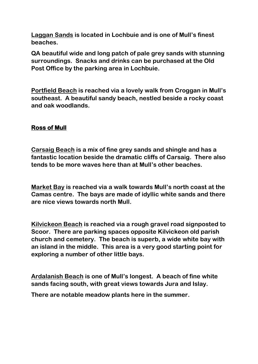**Laggan Sands is located in Lochbuie and is one of Mull's finest beaches.** 

**QA beautiful wide and long patch of pale grey sands with stunning surroundings. Snacks and drinks can be purchased at the Old Post Office by the parking area in Lochbuie.**

**Portfield Beach is reached via a lovely walk from Croggan in Mull's southeast. A beautiful sandy beach, nestled beside a rocky coast and oak woodlands.**

## **Ross of Mull**

**Carsaig Beach is a mix of fine grey sands and shingle and has a fantastic location beside the dramatic cliffs of Carsaig. There also tends to be more waves here than at Mull's other beaches.**

**Market Bay is reached via a walk towards Mull's north coast at the Camas centre. The bays are made of idyllic white sands and there are nice views towards north Mull.**

**Kilvickeon Beach is reached via a rough gravel road signposted to Scoor. There are parking spaces opposite Kilvickeon old parish church and cemetery. The beach is superb, a wide white bay with an island in the middle. This area is a very good starting point for exploring a number of other little bays.**

**Ardalanish Beach is one of Mull's longest. A beach of fine white sands facing south, with great views towards Jura and Islay.** 

**There are notable meadow plants here in the summer.**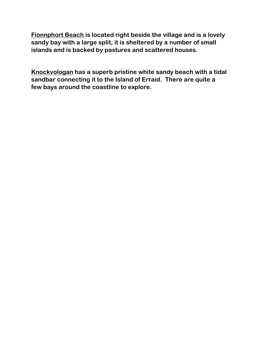**Fionnphort Beach is located right beside the village and is a lovely sandy bay with a large split, it is sheltered by a number of small islands and is backed by pastures and scattered houses.**

**Knockvologan has a superb pristine white sandy beach with a tidal sandbar connecting it to the Island of Erraid. There are quite a few bays around the coastline to explore.**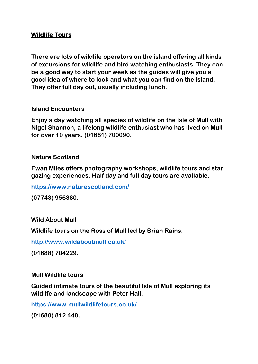#### **Wildlife Tours**

**There are lots of wildlife operators on the island offering all kinds of excursions for wildlife and bird watching enthusiasts. They can be a good way to start your week as the guides will give you a good idea of where to look and what you can find on the island. They offer full day out, usually including lunch.**

#### **Island Encounters**

**Enjoy a day watching all species of wildlife on the Isle of Mull with Nigel Shannon, a lifelong wildlife enthusiast who has lived on Mull for over 10 years. (01681) 700090.**

#### **Nature Scotland**

**Ewan Miles offers photography workshops, wildlife tours and star gazing experiences. Half day and full day tours are available.**

**<https://www.naturescotland.com/>**

**(07743) 956380.**

#### **Wild About Mull**

**Wildlife tours on the Ross of Mull led by Brian Rains.**

**<http://www.wildaboutmull.co.uk/>**

**(01688) 704229.**

#### **Mull Wildlife tours**

**Guided intimate tours of the beautiful Isle of Mull exploring its wildlife and landscape with Peter Hall.**

**<https://www.mullwildlifetours.co.uk/>**

**(01680) 812 440.**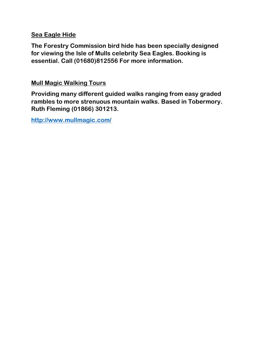#### **Sea Eagle Hide**

**The Forestry Commission bird hide has been specially designed for viewing the Isle of Mulls celebrity Sea Eagles. Booking is essential. Call (01680)812556 For more information.**

#### **Mull Magic Walking Tours**

**Providing many different guided walks ranging from easy graded rambles to more strenuous mountain walks. Based in Tobermory. Ruth Fleming (01866) 301213.**

**<http://www.mullmagic.com/>**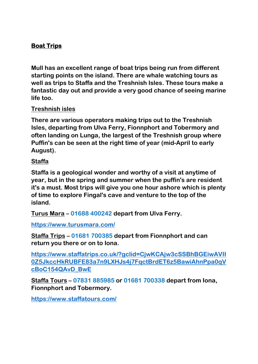## **Boat Trips**

**Mull has an excellent range of boat trips being run from different starting points on the island. There are whale watching tours as well as trips to Staffa and the Treshnish Isles. These tours make a fantastic day out and provide a very good chance of seeing marine life too.**

#### **Treshnish isles**

**There are various operators making trips out to the Treshnish Isles, departing from Ulva Ferry, Fionnphort and Tobermory and often landing on Lunga, the largest of the Treshnish group where Puffin's can be seen at the right time of year (mid-April to early August).** 

#### **Staffa**

**Staffa is a geological wonder and worthy of a visit at anytime of year, but in the spring and summer when the puffin's are resident it's a must. Most trips will give you one hour ashore which is plenty of time to explore Fingal's cave and venture to the top of the island.**

**Turus Mara – 01688 400242 depart from Ulva Ferry.**

**<https://www.turusmara.com/>**

**Staffa Trips – 01681 700385 depart from Fionnphort and can return you there or on to Iona.**

**[https://www.staffatrips.co.uk/?gclid=CjwKCAjw3cSSBhBGEiwAVII](https://www.staffatrips.co.uk/?gclid=CjwKCAjw3cSSBhBGEiwAVII0Z5JkccHkRUBFE83a7n9LXHJs4j7FqctBrdET6z5BawiAhnPpa0qVcBoC154QAvD_BwE) [0Z5JkccHkRUBFE83a7n9LXHJs4j7FqctBrdET6z5BawiAhnPpa0qV](https://www.staffatrips.co.uk/?gclid=CjwKCAjw3cSSBhBGEiwAVII0Z5JkccHkRUBFE83a7n9LXHJs4j7FqctBrdET6z5BawiAhnPpa0qVcBoC154QAvD_BwE) [cBoC154QAvD\\_BwE](https://www.staffatrips.co.uk/?gclid=CjwKCAjw3cSSBhBGEiwAVII0Z5JkccHkRUBFE83a7n9LXHJs4j7FqctBrdET6z5BawiAhnPpa0qVcBoC154QAvD_BwE)**

**Staffa Tours – 07831 885985 or 01681 700338 depart from Iona, Fionnphort and Tobermory.**

**<https://www.staffatours.com/>**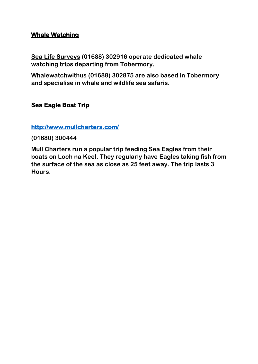#### **Whale Watching**

**Sea Life Surveys (01688) 302916 operate dedicated whale watching trips departing from Tobermory.**

**Whalewatchwithus (01688) 302875 are also based in Tobermory and specialise in whale and wildlife sea safaris.**

## **Sea Eagle Boat Trip**

#### **<http://www.mullcharters.com/>**

**(01680) 300444** 

**Mull Charters run a popular trip feeding Sea Eagles from their boats on Loch na Keel. They regularly have Eagles taking fish from the surface of the sea as close as 25 feet away. The trip lasts 3 Hours.**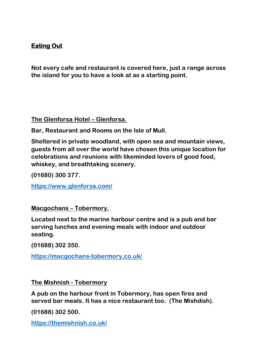## **Eating Out**

**Not every cafe and restaurant is covered here, just a range across the island for you to have a look at as a starting point.**

**The Glenforsa Hotel – Glenforsa.**

**Bar, Restaurant and Rooms on the Isle of Mull.**

**Sheltered in private woodland, with open sea and mountain views, guests from all over the world have chosen this unique location for celebrations and reunions with likeminded lovers of good food, whiskey, and breathtaking scenery.**

**(01680) 300 377.**

**<https://www.glenforsa.com/>**

**Macgochans – Tobermory.**

**Located next to the marine harbour centre and is a pub and bar serving lunches and evening meals with indoor and outdoor seating.**

**(01688) 302 350.**

**https://macgochans-tobermory.co.uk/**

**The Mishnish - Tobermory**

**A pub on the harbour front in Tobermory, has open fires and served bar meals. It has a nice restaurant too. (The Mishdish).**

**(01688) 302 500.**

**<https://themishnish.co.uk/>**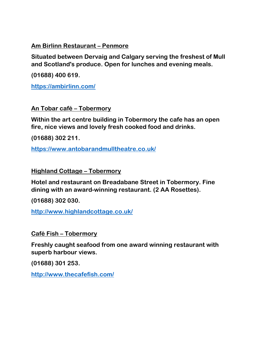**Am Birlinn Restaurant – Penmore**

**Situated between Dervaig and Calgary serving the freshest of Mull and Scotland's produce. Open for lunches and evening meals.**

**(01688) 400 619.**

**<https://ambirlinn.com/>**

**An Tobar café – Tobermory**

**Within the art centre building in Tobermory the cafe has an open fire, nice views and lovely fresh cooked food and drinks.**

**(01688) 302 211.**

**<https://www.antobarandmulltheatre.co.uk/>**

**Highland Cottage – Tobermory**

**Hotel and restaurant on Breadabane Street in Tobermory. Fine dining with an award-winning restaurant. (2 AA Rosettes).**

**(01688) 302 030.**

**<http://www.highlandcottage.co.uk/>**

**Café Fish – Tobermory**

**Freshly caught seafood from one award winning restaurant with superb harbour views.**

**(01688) 301 253.**

**<http://www.thecafefish.com/>**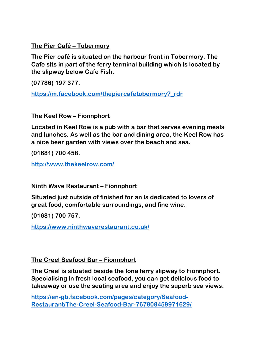**The Pier Café – Tobermory**

**The Pier café is situated on the harbour front in Tobermory. The Cafe sits in part of the ferry terminal building which is located by the slipway below Cafe Fish.**

**(07786) 197 377.**

**[https://m.facebook.com/thepiercafetobermory?\\_rdr](https://m.facebook.com/thepiercafetobermory?_rdr)**

**The Keel Row – Fionnphort**

**Located in Keel Row is a pub with a bar that serves evening meals and lunches. As well as the bar and dining area, the Keel Row has a nice beer garden with views over the beach and sea.**

**(01681) 700 458.**

**<http://www.thekeelrow.com/>**

**Ninth Wave Restaurant – Fionnphort**

**Situated just outside of finished for an is dedicated to lovers of great food, comfortable surroundings, and fine wine.** 

**(01681) 700 757.**

**<https://www.ninthwaverestaurant.co.uk/>**

**The Creel Seafood Bar – Fionnphort**

**The Creel is situated beside the Iona ferry slipway to Fionnphort. Specialising in fresh local seafood, you can get delicious food to takeaway or use the seating area and enjoy the superb sea views.**

**[https://en-gb.facebook.com/pages/category/Seafood-](https://en-gb.facebook.com/pages/category/Seafood-Restaurant/The-Creel-Seafood-Bar-767808459971629/)[Restaurant/The-Creel-Seafood-Bar-767808459971629/](https://en-gb.facebook.com/pages/category/Seafood-Restaurant/The-Creel-Seafood-Bar-767808459971629/)**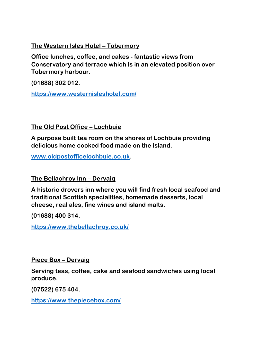#### **The Western Isles Hotel – Tobermory**

**Office lunches, coffee, and cakes - fantastic views from Conservatory and terrace which is in an elevated position over Tobermory harbour.**

**(01688) 302 012.**

**<https://www.westernisleshotel.com/>**

## **The Old Post Office – Lochbuie**

**A purpose built tea room on the shores of Lochbuie providing delicious home cooked food made on the island.**

**[www.oldpostofficelochbuie.co.uk.](http://www.oldpostofficelochbuie.co.uk/)**

**The Bellachroy Inn – Dervaig**

**A historic drovers inn where you will find fresh local seafood and traditional Scottish specialities, homemade desserts, local cheese, real ales, fine wines and island malts.**

**(01688) 400 314.**

**<https://www.thebellachroy.co.uk/>**

**Piece Box – Dervaig**

**Serving teas, coffee, cake and seafood sandwiches using local produce.**

**(07522) 675 404.**

**<https://www.thepiecebox.com/>**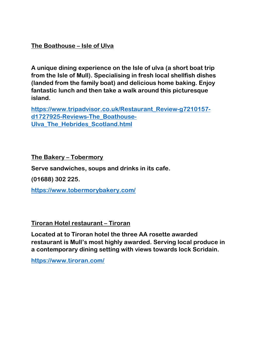**The Boathouse – Isle of Ulva**

**A unique dining experience on the Isle of ulva (a short boat trip from the Isle of Mull). Specialising in fresh local shellfish dishes (landed from the family boat) and delicious home baking. Enjoy fantastic lunch and then take a walk around this picturesque island.**

**[https://www.tripadvisor.co.uk/Restaurant\\_Review-g7210157](https://www.tripadvisor.co.uk/Restaurant_Review-g7210157-d1727925-Reviews-The_Boathouse-Ulva_The_Hebrides_Scotland.html) [d1727925-Reviews-The\\_Boathouse-](https://www.tripadvisor.co.uk/Restaurant_Review-g7210157-d1727925-Reviews-The_Boathouse-Ulva_The_Hebrides_Scotland.html)[Ulva\\_The\\_Hebrides\\_Scotland.html](https://www.tripadvisor.co.uk/Restaurant_Review-g7210157-d1727925-Reviews-The_Boathouse-Ulva_The_Hebrides_Scotland.html)**

**The Bakery – Tobermory**

**Serve sandwiches, soups and drinks in its cafe.**

**(01688) 302 225.**

**<https://www.tobermorybakery.com/>**

**Tiroran Hotel restaurant – Tiroran**

**Located at to Tiroran hotel the three AA rosette awarded restaurant is Mull's most highly awarded. Serving local produce in a contemporary dining setting with views towards lock Scridain.**

**<https://www.tiroran.com/>**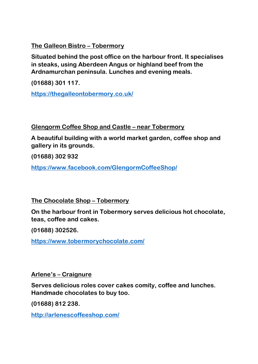**The Galleon Bistro – Tobermory**

**Situated behind the post office on the harbour front. It specialises in steaks, using Aberdeen Angus or highland beef from the Ardnamurchan peninsula. Lunches and evening meals.**

**(01688) 301 117.**

**<https://thegalleontobermory.co.uk/>**

**Glengorm Coffee Shop and Castle – near Tobermory**

**A beautiful building with a world market garden, coffee shop and gallery in its grounds.**

**(01688) 302 932**

**<https://www.facebook.com/GlengormCoffeeShop/>**

**The Chocolate Shop – Tobermory**

**On the harbour front in Tobermory serves delicious hot chocolate, teas, coffee and cakes.**

**(01688) 302526.**

**<https://www.tobermorychocolate.com/>**

**Arlene's – Craignure**

**Serves delicious roles cover cakes comity, coffee and lunches. Handmade chocolates to buy too.**

**(01688) 812 238.**

**<http://arlenescoffeeshop.com/>**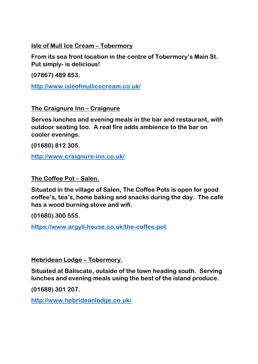**Isle of Mull Ice Cream – Tobermory**

**From its sea front location in the centre of Tobermory's Main St. Put simply- is delicious!**

**(07867) 489 853.**

**<http://www.isleofmullicecream.co.uk/>**

**The Craignure Inn – Craignure**

**Serves lunches and evening meals in the bar and restaurant, with outdoor seating too. A real fire adds ambience to the bar on cooler evenings.**

**(01680) 812 305.**

**<http://www.craignure-inn.co.uk/>**

**The Coffee Pot – Salen.**

**Situated in the village of Salen, The Coffee Pots is open for good coffee's, tea's, home baking and snacks during the day. The café has a wood burning stove and wifi.**

**(01680) 300 555.**

**<https://www.argyll-house.co.uk/the-coffee-pot>**

**Hebridean Lodge – Tobermory.**

**Situated at Baliscate, outside of the town heading south. Serving lunches and evening meals using the best of the island produce.**

**(01688) 301 207.**

**<http://www.hebrideanlodge.co.uk/>**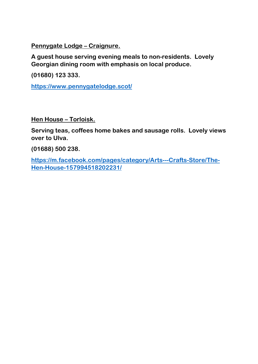**Pennygate Lodge – Craignure.** 

**A guest house serving evening meals to non-residents. Lovely Georgian dining room with emphasis on local produce.**

**(01680) 123 333.**

**<https://www.pennygatelodge.scot/>**

**Hen House – Torloisk.**

**Serving teas, coffees home bakes and sausage rolls. Lovely views over to Ulva.**

**(01688) 500 238.**

**[https://m.facebook.com/pages/category/Arts---Crafts-Store/The-](https://m.facebook.com/pages/category/Arts---Crafts-Store/The-Hen-House-157994518202231/)[Hen-House-157994518202231/](https://m.facebook.com/pages/category/Arts---Crafts-Store/The-Hen-House-157994518202231/)**